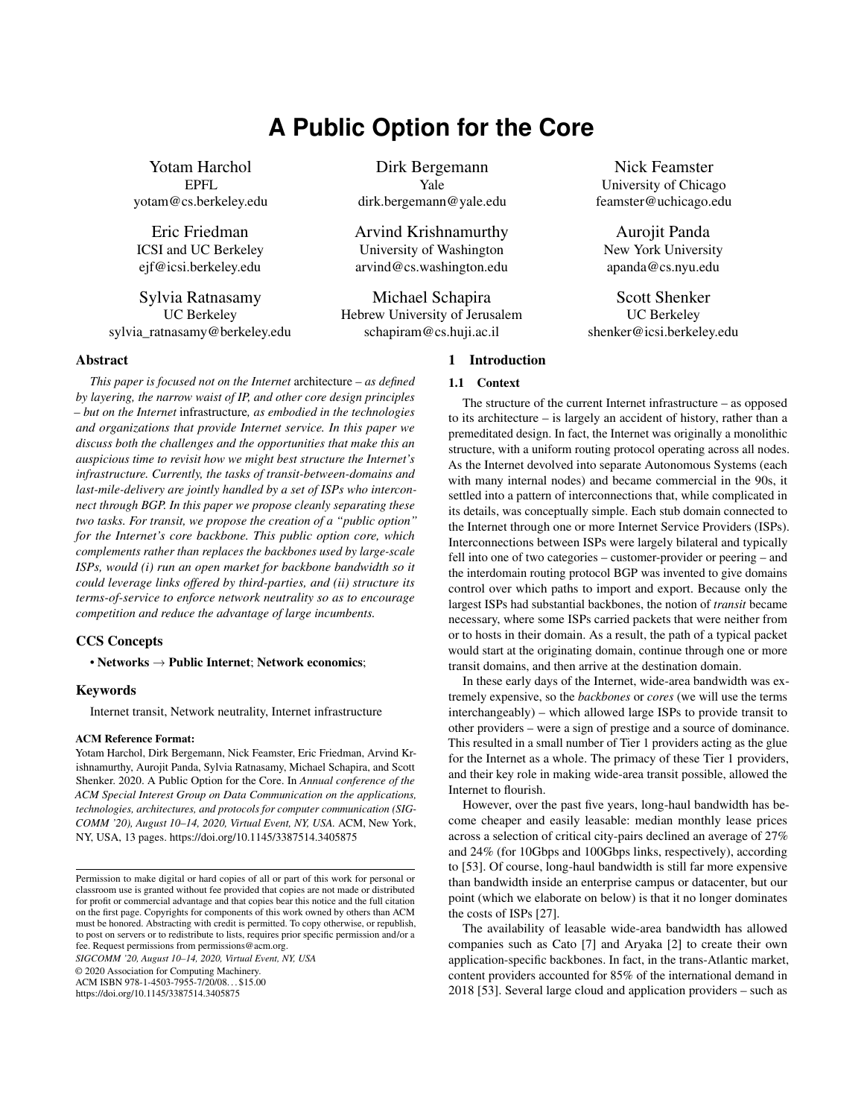# **A Public Option for the Core**

<span id="page-0-0"></span>Yotam Harchol EPFL yotam@cs.berkeley.edu

Eric Friedman ICSI and UC Berkeley ejf@icsi.berkeley.edu

Sylvia Ratnasamy UC Berkeley sylvia\_ratnasamy@berkeley.edu

# Abstract

*This paper is focused not on the Internet* architecture *– as defined by layering, the narrow waist of IP, and other core design principles – but on the Internet* infrastructure*, as embodied in the technologies and organizations that provide Internet service. In this paper we discuss both the challenges and the opportunities that make this an auspicious time to revisit how we might best structure the Internet's infrastructure. Currently, the tasks of transit-between-domains and last-mile-delivery are jointly handled by a set of ISPs who interconnect through BGP. In this paper we propose cleanly separating these two tasks. For transit, we propose the creation of a "public option" for the Internet's core backbone. This public option core, which complements rather than replaces the backbones used by large-scale ISPs, would (i) run an open market for backbone bandwidth so it could leverage links offered by third-parties, and (ii) structure its terms-of-service to enforce network neutrality so as to encourage competition and reduce the advantage of large incumbents.*

# CCS Concepts

• Networks  $\rightarrow$  Public Internet; Network economics;

# Keywords

Internet transit, Network neutrality, Internet infrastructure

# ACM Reference Format:

Yotam Harchol, Dirk Bergemann, Nick Feamster, Eric Friedman, Arvind Krishnamurthy, Aurojit Panda, Sylvia Ratnasamy, Michael Schapira, and Scott Shenker. 2020. A Public Option for the Core. In *Annual conference of the ACM Special Interest Group on Data Communication on the applications, technologies, architectures, and protocols for computer communication (SIG-COMM '20), August 10–14, 2020, Virtual Event, NY, USA.* ACM, New York, NY, USA, [13](#page-0-0) pages.<https://doi.org/10.1145/3387514.3405875>

*SIGCOMM '20, August 10–14, 2020, Virtual Event, NY, USA*

© 2020 Association for Computing Machinery.

ACM ISBN 978-1-4503-7955-7/20/08. . . \$15.00 <https://doi.org/10.1145/3387514.3405875>

Dirk Bergemann Yale dirk.bergemann@yale.edu

Arvind Krishnamurthy University of Washington arvind@cs.washington.edu

Michael Schapira Hebrew University of Jerusalem schapiram@cs.huji.ac.il

# 1 Introduction

# 1.1 Context

The structure of the current Internet infrastructure – as opposed to its architecture – is largely an accident of history, rather than a premeditated design. In fact, the Internet was originally a monolithic structure, with a uniform routing protocol operating across all nodes. As the Internet devolved into separate Autonomous Systems (each with many internal nodes) and became commercial in the 90s, it settled into a pattern of interconnections that, while complicated in its details, was conceptually simple. Each stub domain connected to the Internet through one or more Internet Service Providers (ISPs). Interconnections between ISPs were largely bilateral and typically fell into one of two categories – customer-provider or peering – and the interdomain routing protocol BGP was invented to give domains control over which paths to import and export. Because only the largest ISPs had substantial backbones, the notion of *transit* became necessary, where some ISPs carried packets that were neither from or to hosts in their domain. As a result, the path of a typical packet would start at the originating domain, continue through one or more transit domains, and then arrive at the destination domain.

In these early days of the Internet, wide-area bandwidth was extremely expensive, so the *backbones* or *cores* (we will use the terms interchangeably) – which allowed large ISPs to provide transit to other providers – were a sign of prestige and a source of dominance. This resulted in a small number of Tier 1 providers acting as the glue for the Internet as a whole. The primacy of these Tier 1 providers, and their key role in making wide-area transit possible, allowed the Internet to flourish.

However, over the past five years, long-haul bandwidth has become cheaper and easily leasable: median monthly lease prices across a selection of critical city-pairs declined an average of 27% and 24% (for 10Gbps and 100Gbps links, respectively), according to [\[53\]](#page-12-0). Of course, long-haul bandwidth is still far more expensive than bandwidth inside an enterprise campus or datacenter, but our point (which we elaborate on below) is that it no longer dominates the costs of ISPs [\[27\]](#page-12-1).

The availability of leasable wide-area bandwidth has allowed companies such as Cato [\[7\]](#page-12-2) and Aryaka [\[2\]](#page-12-3) to create their own application-specific backbones. In fact, in the trans-Atlantic market, content providers accounted for 85% of the international demand in 2018 [\[53\]](#page-12-0). Several large cloud and application providers – such as

Nick Feamster University of Chicago feamster@uchicago.edu

> Aurojit Panda New York University apanda@cs.nyu.edu

Scott Shenker UC Berkeley shenker@icsi.berkeley.edu

Permission to make digital or hard copies of all or part of this work for personal or classroom use is granted without fee provided that copies are not made or distributed for profit or commercial advantage and that copies bear this notice and the full citation on the first page. Copyrights for components of this work owned by others than ACM must be honored. Abstracting with credit is permitted. To copy otherwise, or republish, to post on servers or to redistribute to lists, requires prior specific permission and/or a fee. Request permissions from permissions@acm.org.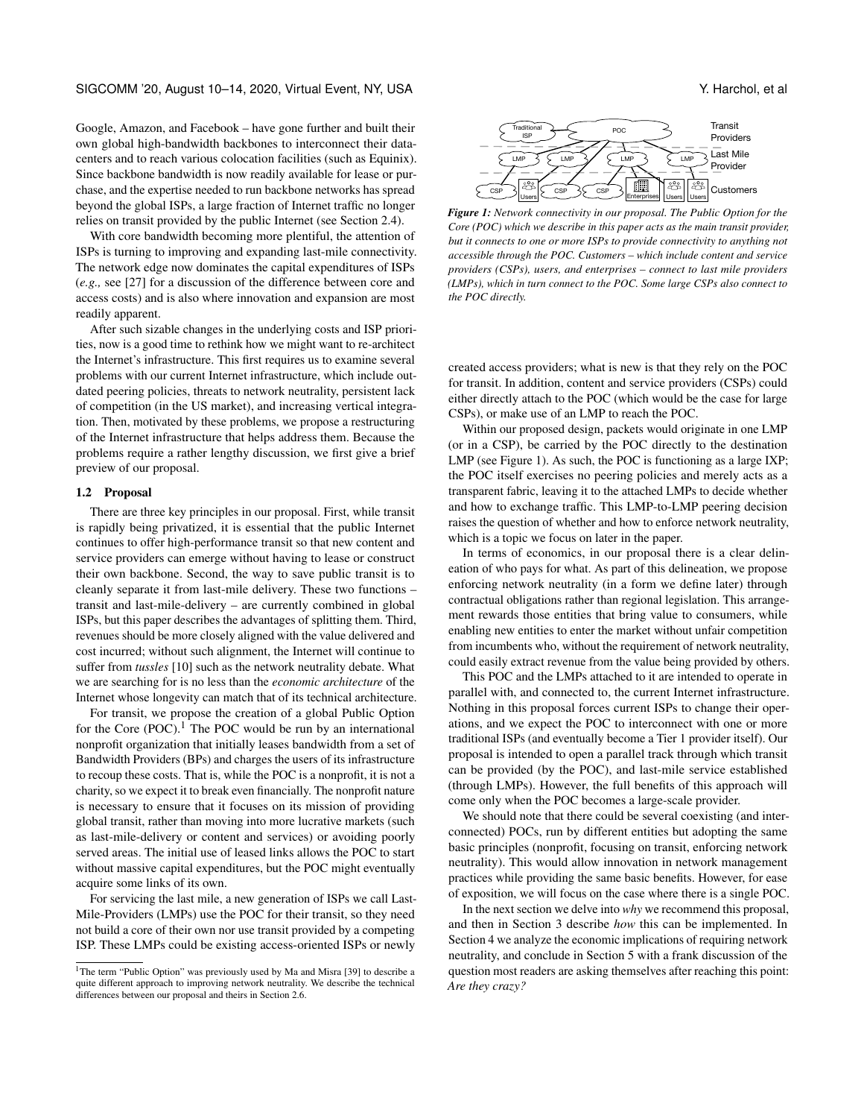Google, Amazon, and Facebook – have gone further and built their own global high-bandwidth backbones to interconnect their datacenters and to reach various colocation facilities (such as Equinix). Since backbone bandwidth is now readily available for lease or purchase, and the expertise needed to run backbone networks has spread beyond the global ISPs, a large fraction of Internet traffic no longer relies on transit provided by the public Internet (see Section [2.4\)](#page-3-0).

With core bandwidth becoming more plentiful, the attention of ISPs is turning to improving and expanding last-mile connectivity. The network edge now dominates the capital expenditures of ISPs (*e.g.,* see [\[27\]](#page-12-1) for a discussion of the difference between core and access costs) and is also where innovation and expansion are most readily apparent.

After such sizable changes in the underlying costs and ISP priorities, now is a good time to rethink how we might want to re-architect the Internet's infrastructure. This first requires us to examine several problems with our current Internet infrastructure, which include outdated peering policies, threats to network neutrality, persistent lack of competition (in the US market), and increasing vertical integration. Then, motivated by these problems, we propose a restructuring of the Internet infrastructure that helps address them. Because the problems require a rather lengthy discussion, we first give a brief preview of our proposal.

#### 1.2 Proposal

There are three key principles in our proposal. First, while transit is rapidly being privatized, it is essential that the public Internet continues to offer high-performance transit so that new content and service providers can emerge without having to lease or construct their own backbone. Second, the way to save public transit is to cleanly separate it from last-mile delivery. These two functions – transit and last-mile-delivery – are currently combined in global ISPs, but this paper describes the advantages of splitting them. Third, revenues should be more closely aligned with the value delivered and cost incurred; without such alignment, the Internet will continue to suffer from *tussles* [\[10\]](#page-12-4) such as the network neutrality debate. What we are searching for is no less than the *economic architecture* of the Internet whose longevity can match that of its technical architecture.

For transit, we propose the creation of a global Public Option for the Core  $(POC)$ .<sup>[1](#page-1-0)</sup> The POC would be run by an international nonprofit organization that initially leases bandwidth from a set of Bandwidth Providers (BPs) and charges the users of its infrastructure to recoup these costs. That is, while the POC is a nonprofit, it is not a charity, so we expect it to break even financially. The nonprofit nature is necessary to ensure that it focuses on its mission of providing global transit, rather than moving into more lucrative markets (such as last-mile-delivery or content and services) or avoiding poorly served areas. The initial use of leased links allows the POC to start without massive capital expenditures, but the POC might eventually acquire some links of its own.

For servicing the last mile, a new generation of ISPs we call Last-Mile-Providers (LMPs) use the POC for their transit, so they need not build a core of their own nor use transit provided by a competing ISP. These LMPs could be existing access-oriented ISPs or newly

<span id="page-1-1"></span>

*Figure 1: Network connectivity in our proposal. The Public Option for the Core (POC) which we describe in this paper acts as the main transit provider, but it connects to one or more ISPs to provide connectivity to anything not accessible through the POC. Customers – which include content and service providers (CSPs), users, and enterprises – connect to last mile providers (LMPs), which in turn connect to the POC. Some large CSPs also connect to the POC directly.*

created access providers; what is new is that they rely on the POC for transit. In addition, content and service providers (CSPs) could either directly attach to the POC (which would be the case for large CSPs), or make use of an LMP to reach the POC.

Within our proposed design, packets would originate in one LMP (or in a CSP), be carried by the POC directly to the destination LMP (see Figure [1\)](#page-1-1). As such, the POC is functioning as a large IXP; the POC itself exercises no peering policies and merely acts as a transparent fabric, leaving it to the attached LMPs to decide whether and how to exchange traffic. This LMP-to-LMP peering decision raises the question of whether and how to enforce network neutrality, which is a topic we focus on later in the paper.

In terms of economics, in our proposal there is a clear delineation of who pays for what. As part of this delineation, we propose enforcing network neutrality (in a form we define later) through contractual obligations rather than regional legislation. This arrangement rewards those entities that bring value to consumers, while enabling new entities to enter the market without unfair competition from incumbents who, without the requirement of network neutrality, could easily extract revenue from the value being provided by others.

This POC and the LMPs attached to it are intended to operate in parallel with, and connected to, the current Internet infrastructure. Nothing in this proposal forces current ISPs to change their operations, and we expect the POC to interconnect with one or more traditional ISPs (and eventually become a Tier 1 provider itself). Our proposal is intended to open a parallel track through which transit can be provided (by the POC), and last-mile service established (through LMPs). However, the full benefits of this approach will come only when the POC becomes a large-scale provider.

We should note that there could be several coexisting (and interconnected) POCs, run by different entities but adopting the same basic principles (nonprofit, focusing on transit, enforcing network neutrality). This would allow innovation in network management practices while providing the same basic benefits. However, for ease of exposition, we will focus on the case where there is a single POC.

In the next section we delve into *why* we recommend this proposal, and then in Section [3](#page-4-1) describe *how* this can be implemented. In Section [4](#page-8-0) we analyze the economic implications of requiring network neutrality, and conclude in Section [5](#page-11-0) with a frank discussion of the question most readers are asking themselves after reaching this point: *Are they crazy?*

<span id="page-1-0"></span><sup>&</sup>lt;sup>1</sup>The term "Public Option" was previously used by Ma and Misra [\[39\]](#page-12-5) to describe a quite different approach to improving network neutrality. We describe the technical differences between our proposal and theirs in Section [2.6.](#page-4-0)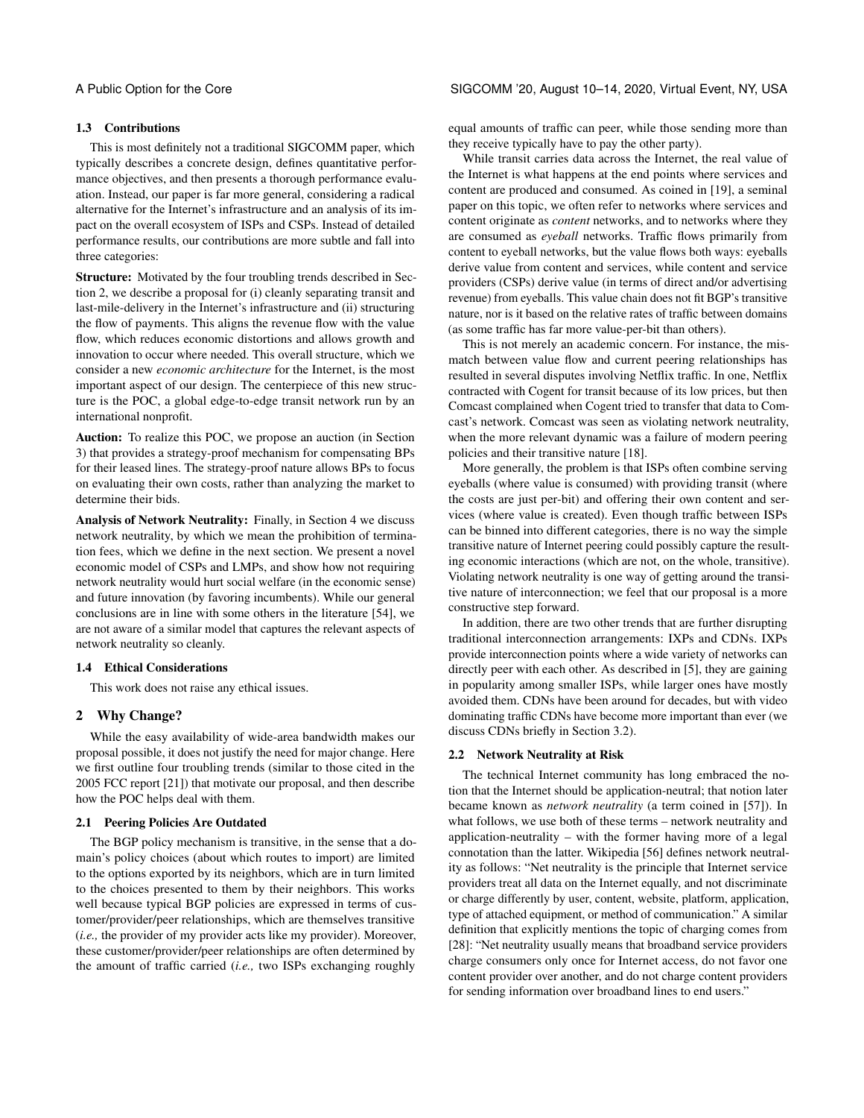# 1.3 Contributions

This is most definitely not a traditional SIGCOMM paper, which typically describes a concrete design, defines quantitative performance objectives, and then presents a thorough performance evaluation. Instead, our paper is far more general, considering a radical alternative for the Internet's infrastructure and an analysis of its impact on the overall ecosystem of ISPs and CSPs. Instead of detailed performance results, our contributions are more subtle and fall into three categories:

Structure: Motivated by the four troubling trends described in Section [2,](#page-2-0) we describe a proposal for (i) cleanly separating transit and last-mile-delivery in the Internet's infrastructure and (ii) structuring the flow of payments. This aligns the revenue flow with the value flow, which reduces economic distortions and allows growth and innovation to occur where needed. This overall structure, which we consider a new *economic architecture* for the Internet, is the most important aspect of our design. The centerpiece of this new structure is the POC, a global edge-to-edge transit network run by an international nonprofit.

Auction: To realize this POC, we propose an auction (in Section [3\)](#page-4-1) that provides a strategy-proof mechanism for compensating BPs for their leased lines. The strategy-proof nature allows BPs to focus on evaluating their own costs, rather than analyzing the market to determine their bids.

Analysis of Network Neutrality: Finally, in Section [4](#page-8-0) we discuss network neutrality, by which we mean the prohibition of termination fees, which we define in the next section. We present a novel economic model of CSPs and LMPs, and show how not requiring network neutrality would hurt social welfare (in the economic sense) and future innovation (by favoring incumbents). While our general conclusions are in line with some others in the literature [\[54\]](#page-12-6), we are not aware of a similar model that captures the relevant aspects of network neutrality so cleanly.

# 1.4 Ethical Considerations

This work does not raise any ethical issues.

# <span id="page-2-0"></span>2 Why Change?

While the easy availability of wide-area bandwidth makes our proposal possible, it does not justify the need for major change. Here we first outline four troubling trends (similar to those cited in the 2005 FCC report [\[21\]](#page-12-7)) that motivate our proposal, and then describe how the POC helps deal with them.

# 2.1 Peering Policies Are Outdated

The BGP policy mechanism is transitive, in the sense that a domain's policy choices (about which routes to import) are limited to the options exported by its neighbors, which are in turn limited to the choices presented to them by their neighbors. This works well because typical BGP policies are expressed in terms of customer/provider/peer relationships, which are themselves transitive (*i.e.,* the provider of my provider acts like my provider). Moreover, these customer/provider/peer relationships are often determined by the amount of traffic carried (*i.e.,* two ISPs exchanging roughly

equal amounts of traffic can peer, while those sending more than they receive typically have to pay the other party).

While transit carries data across the Internet, the real value of the Internet is what happens at the end points where services and content are produced and consumed. As coined in [\[19\]](#page-12-8), a seminal paper on this topic, we often refer to networks where services and content originate as *content* networks, and to networks where they are consumed as *eyeball* networks. Traffic flows primarily from content to eyeball networks, but the value flows both ways: eyeballs derive value from content and services, while content and service providers (CSPs) derive value (in terms of direct and/or advertising revenue) from eyeballs. This value chain does not fit BGP's transitive nature, nor is it based on the relative rates of traffic between domains (as some traffic has far more value-per-bit than others).

This is not merely an academic concern. For instance, the mismatch between value flow and current peering relationships has resulted in several disputes involving Netflix traffic. In one, Netflix contracted with Cogent for transit because of its low prices, but then Comcast complained when Cogent tried to transfer that data to Comcast's network. Comcast was seen as violating network neutrality, when the more relevant dynamic was a failure of modern peering policies and their transitive nature [\[18\]](#page-12-9).

More generally, the problem is that ISPs often combine serving eyeballs (where value is consumed) with providing transit (where the costs are just per-bit) and offering their own content and services (where value is created). Even though traffic between ISPs can be binned into different categories, there is no way the simple transitive nature of Internet peering could possibly capture the resulting economic interactions (which are not, on the whole, transitive). Violating network neutrality is one way of getting around the transitive nature of interconnection; we feel that our proposal is a more constructive step forward.

In addition, there are two other trends that are further disrupting traditional interconnection arrangements: IXPs and CDNs. IXPs provide interconnection points where a wide variety of networks can directly peer with each other. As described in [\[5\]](#page-12-10), they are gaining in popularity among smaller ISPs, while larger ones have mostly avoided them. CDNs have been around for decades, but with video dominating traffic CDNs have become more important than ever (we discuss CDNs briefly in Section [3.2\)](#page-5-0).

#### 2.2 Network Neutrality at Risk

The technical Internet community has long embraced the notion that the Internet should be application-neutral; that notion later became known as *network neutrality* (a term coined in [\[57\]](#page-12-11)). In what follows, we use both of these terms – network neutrality and application-neutrality – with the former having more of a legal connotation than the latter. Wikipedia [\[56\]](#page-12-12) defines network neutrality as follows: "Net neutrality is the principle that Internet service providers treat all data on the Internet equally, and not discriminate or charge differently by user, content, website, platform, application, type of attached equipment, or method of communication." A similar definition that explicitly mentions the topic of charging comes from [\[28\]](#page-12-13): "Net neutrality usually means that broadband service providers charge consumers only once for Internet access, do not favor one content provider over another, and do not charge content providers for sending information over broadband lines to end users."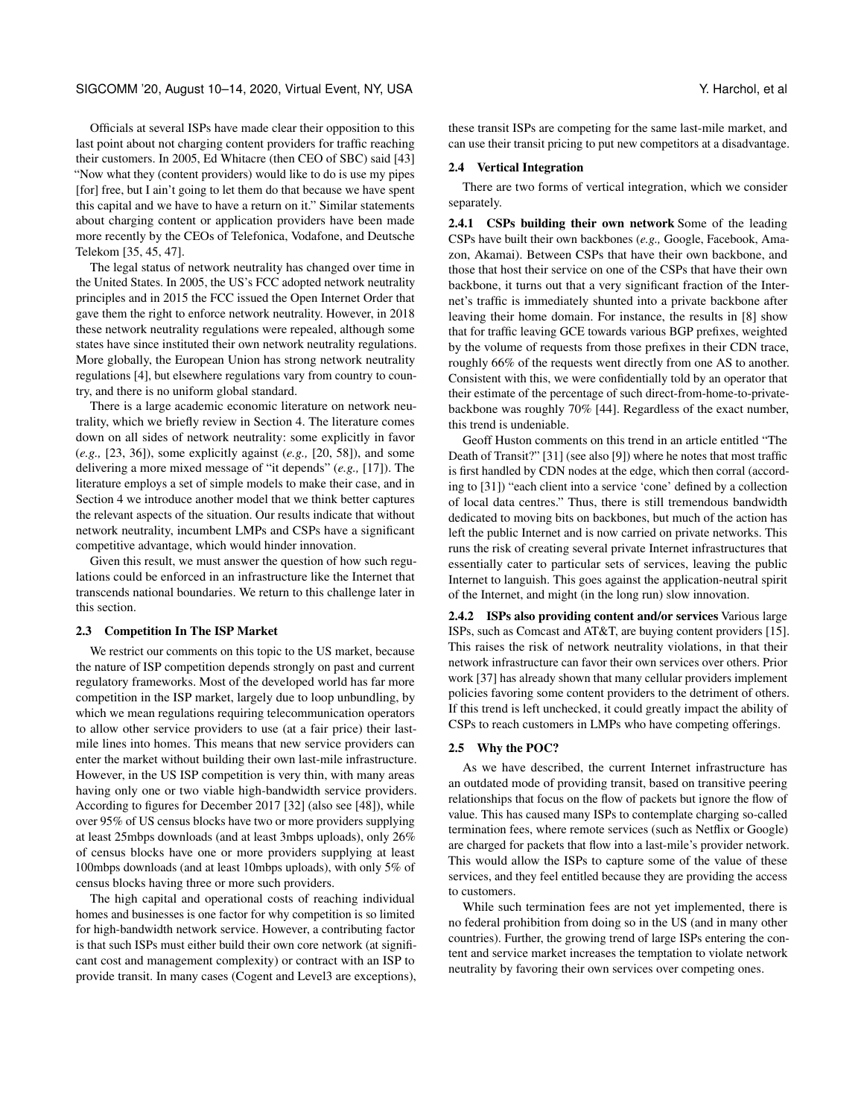# SIGCOMM '20, August 10–14, 2020, Virtual Event, NY, USA Y. Harchol, et al. Y. Harchol, et al.

Officials at several ISPs have made clear their opposition to this last point about not charging content providers for traffic reaching their customers. In 2005, Ed Whitacre (then CEO of SBC) said [\[43\]](#page-12-14) "Now what they (content providers) would like to do is use my pipes [for] free, but I ain't going to let them do that because we have spent this capital and we have to have a return on it." Similar statements about charging content or application providers have been made more recently by the CEOs of Telefonica, Vodafone, and Deutsche Telekom [\[35,](#page-12-15) [45,](#page-12-16) [47\]](#page-12-17).

The legal status of network neutrality has changed over time in the United States. In 2005, the US's FCC adopted network neutrality principles and in 2015 the FCC issued the Open Internet Order that gave them the right to enforce network neutrality. However, in 2018 these network neutrality regulations were repealed, although some states have since instituted their own network neutrality regulations. More globally, the European Union has strong network neutrality regulations [\[4\]](#page-12-18), but elsewhere regulations vary from country to country, and there is no uniform global standard.

There is a large academic economic literature on network neutrality, which we briefly review in Section [4.](#page-8-0) The literature comes down on all sides of network neutrality: some explicitly in favor (*e.g.,* [\[23,](#page-12-19) [36\]](#page-12-20)), some explicitly against (*e.g.,* [\[20,](#page-12-21) [58\]](#page-12-22)), and some delivering a more mixed message of "it depends" (*e.g.,* [\[17\]](#page-12-23)). The literature employs a set of simple models to make their case, and in Section [4](#page-8-0) we introduce another model that we think better captures the relevant aspects of the situation. Our results indicate that without network neutrality, incumbent LMPs and CSPs have a significant competitive advantage, which would hinder innovation.

Given this result, we must answer the question of how such regulations could be enforced in an infrastructure like the Internet that transcends national boundaries. We return to this challenge later in this section.

#### 2.3 Competition In The ISP Market

We restrict our comments on this topic to the US market, because the nature of ISP competition depends strongly on past and current regulatory frameworks. Most of the developed world has far more competition in the ISP market, largely due to loop unbundling, by which we mean regulations requiring telecommunication operators to allow other service providers to use (at a fair price) their lastmile lines into homes. This means that new service providers can enter the market without building their own last-mile infrastructure. However, in the US ISP competition is very thin, with many areas having only one or two viable high-bandwidth service providers. According to figures for December 2017 [\[32\]](#page-12-24) (also see [\[48\]](#page-12-25)), while over 95% of US census blocks have two or more providers supplying at least 25mbps downloads (and at least 3mbps uploads), only 26% of census blocks have one or more providers supplying at least 100mbps downloads (and at least 10mbps uploads), with only 5% of census blocks having three or more such providers.

The high capital and operational costs of reaching individual homes and businesses is one factor for why competition is so limited for high-bandwidth network service. However, a contributing factor is that such ISPs must either build their own core network (at significant cost and management complexity) or contract with an ISP to provide transit. In many cases (Cogent and Level3 are exceptions), these transit ISPs are competing for the same last-mile market, and can use their transit pricing to put new competitors at a disadvantage.

#### <span id="page-3-0"></span>2.4 Vertical Integration

There are two forms of vertical integration, which we consider separately.

2.4.1 CSPs building their own network Some of the leading CSPs have built their own backbones (*e.g.,* Google, Facebook, Amazon, Akamai). Between CSPs that have their own backbone, and those that host their service on one of the CSPs that have their own backbone, it turns out that a very significant fraction of the Internet's traffic is immediately shunted into a private backbone after leaving their home domain. For instance, the results in [\[8\]](#page-12-26) show that for traffic leaving GCE towards various BGP prefixes, weighted by the volume of requests from those prefixes in their CDN trace, roughly 66% of the requests went directly from one AS to another. Consistent with this, we were confidentially told by an operator that their estimate of the percentage of such direct-from-home-to-privatebackbone was roughly 70% [\[44\]](#page-12-27). Regardless of the exact number, this trend is undeniable.

Geoff Huston comments on this trend in an article entitled "The Death of Transit?" [\[31\]](#page-12-28) (see also [\[9\]](#page-12-29)) where he notes that most traffic is first handled by CDN nodes at the edge, which then corral (according to [\[31\]](#page-12-28)) "each client into a service 'cone' defined by a collection of local data centres." Thus, there is still tremendous bandwidth dedicated to moving bits on backbones, but much of the action has left the public Internet and is now carried on private networks. This runs the risk of creating several private Internet infrastructures that essentially cater to particular sets of services, leaving the public Internet to languish. This goes against the application-neutral spirit of the Internet, and might (in the long run) slow innovation.

2.4.2 ISPs also providing content and/or services Various large ISPs, such as Comcast and AT&T, are buying content providers [\[15\]](#page-12-30). This raises the risk of network neutrality violations, in that their network infrastructure can favor their own services over others. Prior work [\[37\]](#page-12-31) has already shown that many cellular providers implement policies favoring some content providers to the detriment of others. If this trend is left unchecked, it could greatly impact the ability of CSPs to reach customers in LMPs who have competing offerings.

#### 2.5 Why the POC?

As we have described, the current Internet infrastructure has an outdated mode of providing transit, based on transitive peering relationships that focus on the flow of packets but ignore the flow of value. This has caused many ISPs to contemplate charging so-called termination fees, where remote services (such as Netflix or Google) are charged for packets that flow into a last-mile's provider network. This would allow the ISPs to capture some of the value of these services, and they feel entitled because they are providing the access to customers.

While such termination fees are not yet implemented, there is no federal prohibition from doing so in the US (and in many other countries). Further, the growing trend of large ISPs entering the content and service market increases the temptation to violate network neutrality by favoring their own services over competing ones.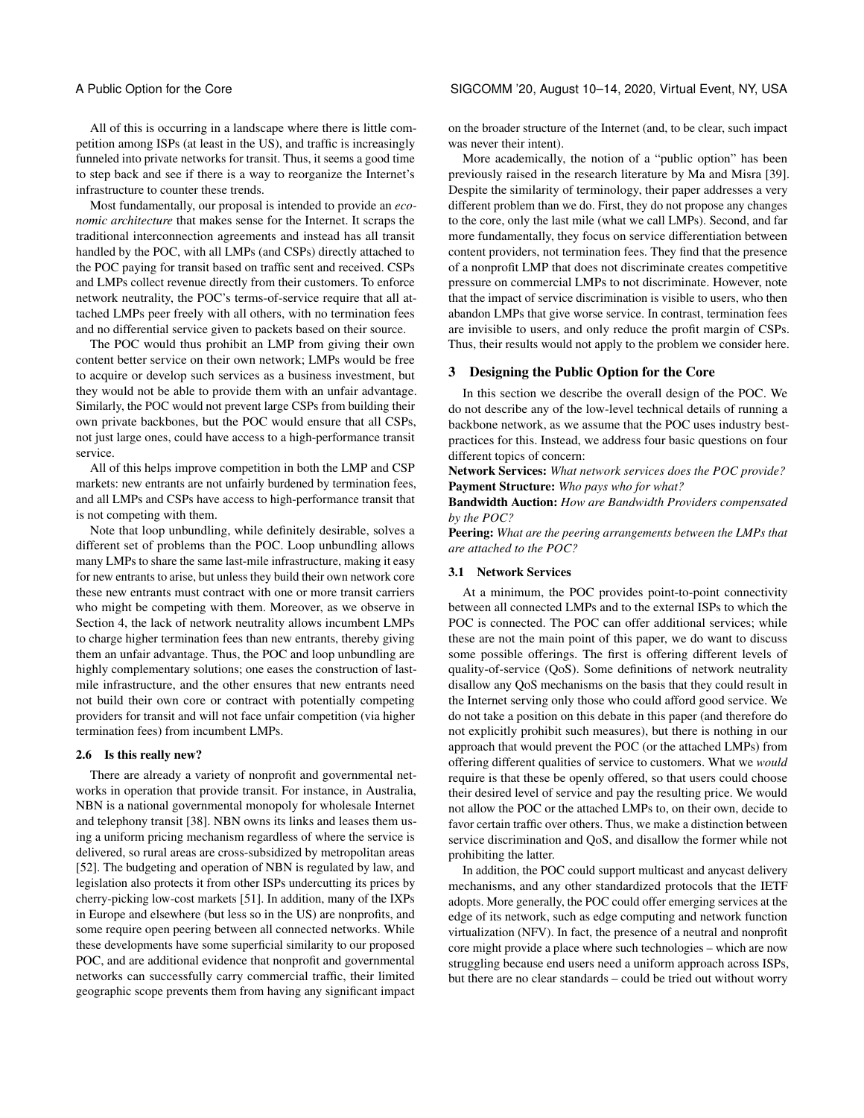All of this is occurring in a landscape where there is little competition among ISPs (at least in the US), and traffic is increasingly funneled into private networks for transit. Thus, it seems a good time to step back and see if there is a way to reorganize the Internet's infrastructure to counter these trends.

Most fundamentally, our proposal is intended to provide an *economic architecture* that makes sense for the Internet. It scraps the traditional interconnection agreements and instead has all transit handled by the POC, with all LMPs (and CSPs) directly attached to the POC paying for transit based on traffic sent and received. CSPs and LMPs collect revenue directly from their customers. To enforce network neutrality, the POC's terms-of-service require that all attached LMPs peer freely with all others, with no termination fees and no differential service given to packets based on their source.

The POC would thus prohibit an LMP from giving their own content better service on their own network; LMPs would be free to acquire or develop such services as a business investment, but they would not be able to provide them with an unfair advantage. Similarly, the POC would not prevent large CSPs from building their own private backbones, but the POC would ensure that all CSPs, not just large ones, could have access to a high-performance transit service.

All of this helps improve competition in both the LMP and CSP markets: new entrants are not unfairly burdened by termination fees, and all LMPs and CSPs have access to high-performance transit that is not competing with them.

Note that loop unbundling, while definitely desirable, solves a different set of problems than the POC. Loop unbundling allows many LMPs to share the same last-mile infrastructure, making it easy for new entrants to arise, but unless they build their own network core these new entrants must contract with one or more transit carriers who might be competing with them. Moreover, as we observe in Section [4,](#page-8-0) the lack of network neutrality allows incumbent LMPs to charge higher termination fees than new entrants, thereby giving them an unfair advantage. Thus, the POC and loop unbundling are highly complementary solutions; one eases the construction of lastmile infrastructure, and the other ensures that new entrants need not build their own core or contract with potentially competing providers for transit and will not face unfair competition (via higher termination fees) from incumbent LMPs.

#### <span id="page-4-0"></span>2.6 Is this really new?

There are already a variety of nonprofit and governmental networks in operation that provide transit. For instance, in Australia, NBN is a national governmental monopoly for wholesale Internet and telephony transit [\[38\]](#page-12-32). NBN owns its links and leases them using a uniform pricing mechanism regardless of where the service is delivered, so rural areas are cross-subsidized by metropolitan areas [\[52\]](#page-12-33). The budgeting and operation of NBN is regulated by law, and legislation also protects it from other ISPs undercutting its prices by cherry-picking low-cost markets [\[51\]](#page-12-34). In addition, many of the IXPs in Europe and elsewhere (but less so in the US) are nonprofits, and some require open peering between all connected networks. While these developments have some superficial similarity to our proposed POC, and are additional evidence that nonprofit and governmental networks can successfully carry commercial traffic, their limited geographic scope prevents them from having any significant impact

on the broader structure of the Internet (and, to be clear, such impact was never their intent).

More academically, the notion of a "public option" has been previously raised in the research literature by Ma and Misra [\[39\]](#page-12-5). Despite the similarity of terminology, their paper addresses a very different problem than we do. First, they do not propose any changes to the core, only the last mile (what we call LMPs). Second, and far more fundamentally, they focus on service differentiation between content providers, not termination fees. They find that the presence of a nonprofit LMP that does not discriminate creates competitive pressure on commercial LMPs to not discriminate. However, note that the impact of service discrimination is visible to users, who then abandon LMPs that give worse service. In contrast, termination fees are invisible to users, and only reduce the profit margin of CSPs. Thus, their results would not apply to the problem we consider here.

# <span id="page-4-1"></span>3 Designing the Public Option for the Core

In this section we describe the overall design of the POC. We do not describe any of the low-level technical details of running a backbone network, as we assume that the POC uses industry bestpractices for this. Instead, we address four basic questions on four different topics of concern:

Network Services: *What network services does the POC provide?* Payment Structure: *Who pays who for what?*

Bandwidth Auction: *How are Bandwidth Providers compensated by the POC?*

Peering: *What are the peering arrangements between the LMPs that are attached to the POC?*

## 3.1 Network Services

At a minimum, the POC provides point-to-point connectivity between all connected LMPs and to the external ISPs to which the POC is connected. The POC can offer additional services; while these are not the main point of this paper, we do want to discuss some possible offerings. The first is offering different levels of quality-of-service (QoS). Some definitions of network neutrality disallow any QoS mechanisms on the basis that they could result in the Internet serving only those who could afford good service. We do not take a position on this debate in this paper (and therefore do not explicitly prohibit such measures), but there is nothing in our approach that would prevent the POC (or the attached LMPs) from offering different qualities of service to customers. What we *would* require is that these be openly offered, so that users could choose their desired level of service and pay the resulting price. We would not allow the POC or the attached LMPs to, on their own, decide to favor certain traffic over others. Thus, we make a distinction between service discrimination and QoS, and disallow the former while not prohibiting the latter.

In addition, the POC could support multicast and anycast delivery mechanisms, and any other standardized protocols that the IETF adopts. More generally, the POC could offer emerging services at the edge of its network, such as edge computing and network function virtualization (NFV). In fact, the presence of a neutral and nonprofit core might provide a place where such technologies – which are now struggling because end users need a uniform approach across ISPs, but there are no clear standards – could be tried out without worry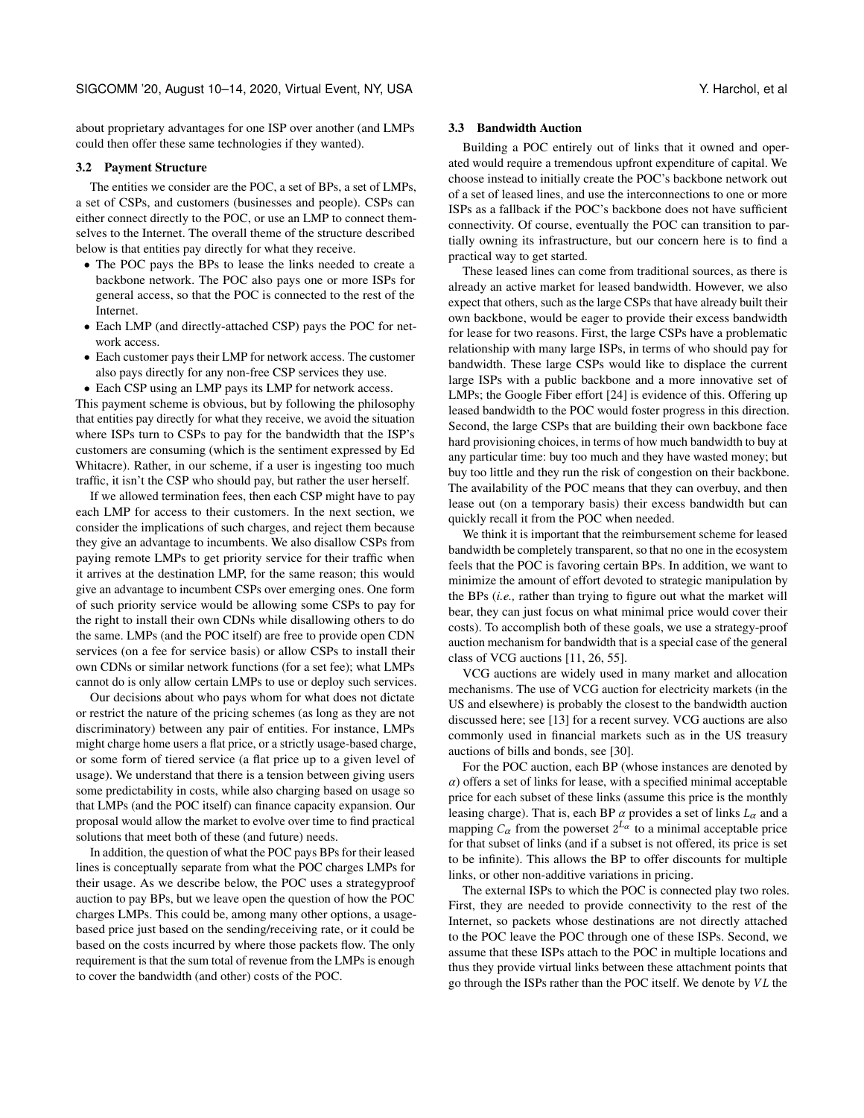about proprietary advantages for one ISP over another (and LMPs could then offer these same technologies if they wanted).

# <span id="page-5-0"></span>3.2 Payment Structure

The entities we consider are the POC, a set of BPs, a set of LMPs, a set of CSPs, and customers (businesses and people). CSPs can either connect directly to the POC, or use an LMP to connect themselves to the Internet. The overall theme of the structure described below is that entities pay directly for what they receive.

- The POC pays the BPs to lease the links needed to create a backbone network. The POC also pays one or more ISPs for general access, so that the POC is connected to the rest of the Internet.
- Each LMP (and directly-attached CSP) pays the POC for network access.
- Each customer pays their LMP for network access. The customer also pays directly for any non-free CSP services they use.
- Each CSP using an LMP pays its LMP for network access.

This payment scheme is obvious, but by following the philosophy that entities pay directly for what they receive, we avoid the situation where ISPs turn to CSPs to pay for the bandwidth that the ISP's customers are consuming (which is the sentiment expressed by Ed Whitacre). Rather, in our scheme, if a user is ingesting too much traffic, it isn't the CSP who should pay, but rather the user herself.

If we allowed termination fees, then each CSP might have to pay each LMP for access to their customers. In the next section, we consider the implications of such charges, and reject them because they give an advantage to incumbents. We also disallow CSPs from paying remote LMPs to get priority service for their traffic when it arrives at the destination LMP, for the same reason; this would give an advantage to incumbent CSPs over emerging ones. One form of such priority service would be allowing some CSPs to pay for the right to install their own CDNs while disallowing others to do the same. LMPs (and the POC itself) are free to provide open CDN services (on a fee for service basis) or allow CSPs to install their own CDNs or similar network functions (for a set fee); what LMPs cannot do is only allow certain LMPs to use or deploy such services.

Our decisions about who pays whom for what does not dictate or restrict the nature of the pricing schemes (as long as they are not discriminatory) between any pair of entities. For instance, LMPs might charge home users a flat price, or a strictly usage-based charge, or some form of tiered service (a flat price up to a given level of usage). We understand that there is a tension between giving users some predictability in costs, while also charging based on usage so that LMPs (and the POC itself) can finance capacity expansion. Our proposal would allow the market to evolve over time to find practical solutions that meet both of these (and future) needs.

In addition, the question of what the POC pays BPs for their leased lines is conceptually separate from what the POC charges LMPs for their usage. As we describe below, the POC uses a strategyproof auction to pay BPs, but we leave open the question of how the POC charges LMPs. This could be, among many other options, a usagebased price just based on the sending/receiving rate, or it could be based on the costs incurred by where those packets flow. The only requirement is that the sum total of revenue from the LMPs is enough to cover the bandwidth (and other) costs of the POC.

#### 3.3 Bandwidth Auction

Building a POC entirely out of links that it owned and operated would require a tremendous upfront expenditure of capital. We choose instead to initially create the POC's backbone network out of a set of leased lines, and use the interconnections to one or more ISPs as a fallback if the POC's backbone does not have sufficient connectivity. Of course, eventually the POC can transition to partially owning its infrastructure, but our concern here is to find a practical way to get started.

These leased lines can come from traditional sources, as there is already an active market for leased bandwidth. However, we also expect that others, such as the large CSPs that have already built their own backbone, would be eager to provide their excess bandwidth for lease for two reasons. First, the large CSPs have a problematic relationship with many large ISPs, in terms of who should pay for bandwidth. These large CSPs would like to displace the current large ISPs with a public backbone and a more innovative set of LMPs; the Google Fiber effort [\[24\]](#page-12-35) is evidence of this. Offering up leased bandwidth to the POC would foster progress in this direction. Second, the large CSPs that are building their own backbone face hard provisioning choices, in terms of how much bandwidth to buy at any particular time: buy too much and they have wasted money; but buy too little and they run the risk of congestion on their backbone. The availability of the POC means that they can overbuy, and then lease out (on a temporary basis) their excess bandwidth but can quickly recall it from the POC when needed.

We think it is important that the reimbursement scheme for leased bandwidth be completely transparent, so that no one in the ecosystem feels that the POC is favoring certain BPs. In addition, we want to minimize the amount of effort devoted to strategic manipulation by the BPs (*i.e.,* rather than trying to figure out what the market will bear, they can just focus on what minimal price would cover their costs). To accomplish both of these goals, we use a strategy-proof auction mechanism for bandwidth that is a special case of the general class of VCG auctions [\[11,](#page-12-36) [26,](#page-12-37) [55\]](#page-12-38).

VCG auctions are widely used in many market and allocation mechanisms. The use of VCG auction for electricity markets (in the US and elsewhere) is probably the closest to the bandwidth auction discussed here; see [\[13\]](#page-12-39) for a recent survey. VCG auctions are also commonly used in financial markets such as in the US treasury auctions of bills and bonds, see [\[30\]](#page-12-40).

For the POC auction, each BP (whose instances are denoted by  $\alpha$ ) offers a set of links for lease, with a specified minimal acceptable price for each subset of these links (assume this price is the monthly leasing charge). That is, each BP  $\alpha$  provides a set of links  $L_{\alpha}$  and a mapping  $C_{\alpha}$  from the powerset  $2^{L_{\alpha}}$  to a minimal acceptable price for that subset of links (and if a subset is not offered, its price is set to be infinite). This allows the BP to offer discounts for multiple links, or other non-additive variations in pricing.

The external ISPs to which the POC is connected play two roles. First, they are needed to provide connectivity to the rest of the Internet, so packets whose destinations are not directly attached to the POC leave the POC through one of these ISPs. Second, we assume that these ISPs attach to the POC in multiple locations and thus they provide virtual links between these attachment points that go through the ISPs rather than the POC itself. We denote by  $VL$  the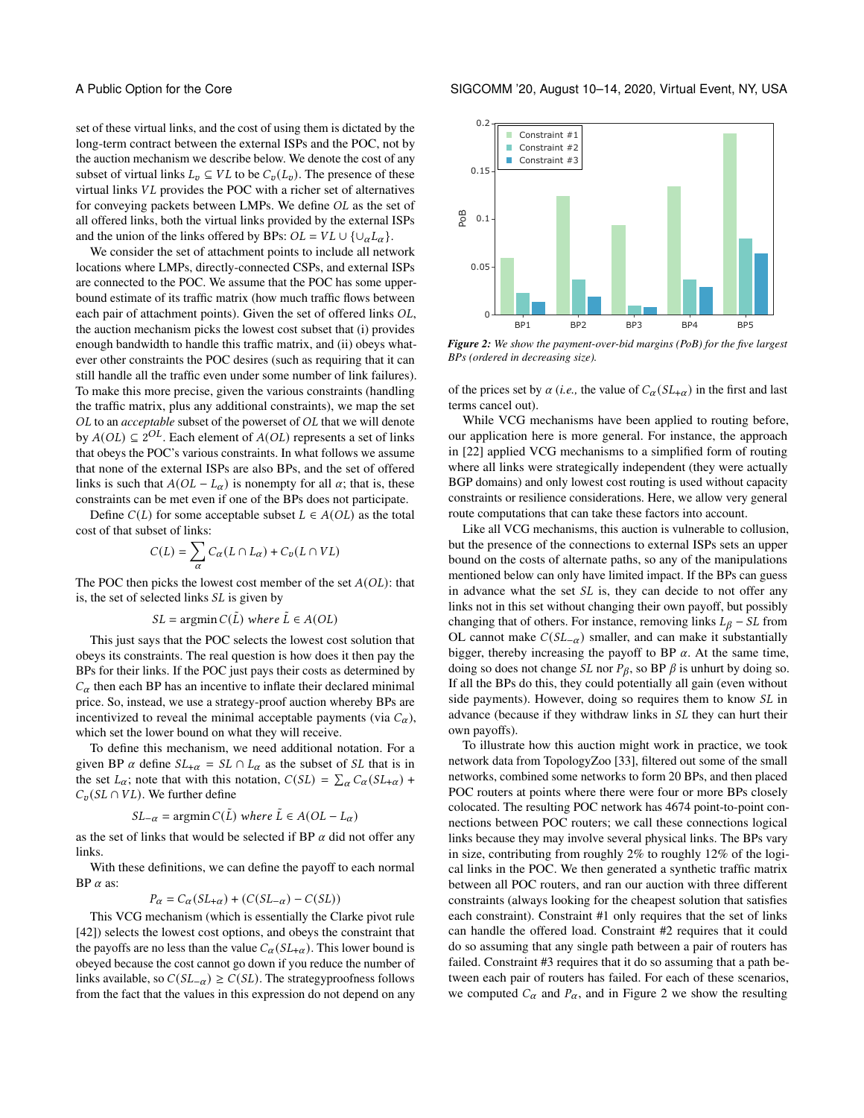set of these virtual links, and the cost of using them is dictated by the long-term contract between the external ISPs and the POC, not by the auction mechanism we describe below. We denote the cost of any subset of virtual links  $L_v \subseteq VL$  to be  $C_v(L_v)$ . The presence of these virtual links  $VL$  provides the POC with a richer set of alternatives for conveying packets between LMPs. We define  $OL$  as the set of all offered links, both the virtual links provided by the external ISPs and the union of the links offered by BPs:  $OL = VL \cup \{\cup_{\alpha} L_{\alpha}\}.$ 

We consider the set of attachment points to include all network locations where LMPs, directly-connected CSPs, and external ISPs are connected to the POC. We assume that the POC has some upperbound estimate of its traffic matrix (how much traffic flows between each pair of attachment points). Given the set of offered links OL, the auction mechanism picks the lowest cost subset that (i) provides enough bandwidth to handle this traffic matrix, and (ii) obeys whatever other constraints the POC desires (such as requiring that it can still handle all the traffic even under some number of link failures). To make this more precise, given the various constraints (handling the traffic matrix, plus any additional constraints), we map the set OL to an *acceptable* subset of the powerset of OL that we will denote by  $A(OL) \subseteq 2^{OL}$ . Each element of  $A(OL)$  represents a set of links that obeys the POC's various constraints. In what follows we assume that none of the external ISPs are also BPs, and the set of offered links is such that  $A(OL - L_{\alpha})$  is nonempty for all  $\alpha$ ; that is, these constraints can be met even if one of the BPs does not participate.

Define  $C(L)$  for some acceptable subset  $L \in A(OL)$  as the total cost of that subset of links:

$$
C(L) = \sum_{\alpha} C_{\alpha}(L \cap L_{\alpha}) + C_{v}(L \cap VL)
$$

The POC then picks the lowest cost member of the set  $A(OL)$ : that is, the set of selected links *SL* is given by

$$
SL = \operatorname{argmin} C(\tilde{L})
$$
 where  $\tilde{L} \in A(OL)$ 

This just says that the POC selects the lowest cost solution that obeys its constraints. The real question is how does it then pay the BPs for their links. If the POC just pays their costs as determined by  $C_{\alpha}$  then each BP has an incentive to inflate their declared minimal price. So, instead, we use a strategy-proof auction whereby BPs are incentivized to reveal the minimal acceptable payments (via  $C_{\alpha}$ ), which set the lower bound on what they will receive.

To define this mechanism, we need additional notation. For a given BP  $\alpha$  define  $SL_{+\alpha} = SL \cap L_{\alpha}$  as the subset of *SL* that is in the set  $L_{\alpha}$ ; note that with this notation,  $C(SL) = \sum_{\alpha} C_{\alpha}(SL_{+\alpha})$  +  $C_v(SL \cap VL)$ . We further define

$$
SL_{-\alpha}
$$
 = argmin  $C(\tilde{L})$  where  $\tilde{L} \in A(OL - L_{\alpha})$ 

as the set of links that would be selected if BP  $\alpha$  did not offer any links.

With these definitions, we can define the payoff to each normal BP  $\alpha$  as:

 $P_{\alpha} = C_{\alpha}(SL_{+\alpha}) + (C(SL_{-\alpha}) - C(SL))$ 

This VCG mechanism (which is essentially the Clarke pivot rule [\[42\]](#page-12-41)) selects the lowest cost options, and obeys the constraint that the payoffs are no less than the value  $C_{\alpha}(SL_{+\alpha})$ . This lower bound is obeyed because the cost cannot go down if you reduce the number of links available, so  $C(SL_{\alpha}) \geq C(SL)$ . The strategyproofness follows from the fact that the values in this expression do not depend on any

<span id="page-6-0"></span>

*Figure 2: We show the payment-over-bid margins (PoB) for the five largest BPs (ordered in decreasing size).*

of the prices set by  $\alpha$  (*i.e.*, the value of  $C_{\alpha}(SL_{+\alpha})$  in the first and last terms cancel out).

While VCG mechanisms have been applied to routing before, our application here is more general. For instance, the approach in [\[22\]](#page-12-42) applied VCG mechanisms to a simplified form of routing where all links were strategically independent (they were actually BGP domains) and only lowest cost routing is used without capacity constraints or resilience considerations. Here, we allow very general route computations that can take these factors into account.

Like all VCG mechanisms, this auction is vulnerable to collusion, but the presence of the connections to external ISPs sets an upper bound on the costs of alternate paths, so any of the manipulations mentioned below can only have limited impact. If the BPs can guess in advance what the set  $SL$  is, they can decide to not offer any links not in this set without changing their own payoff, but possibly changing that of others. For instance, removing links  $L_{\beta}$  – SL from OL cannot make  $C(SL_{\alpha})$  smaller, and can make it substantially bigger, thereby increasing the payoff to BP  $\alpha$ . At the same time, doing so does not change *SL* nor  $P_\beta$ , so BP  $\beta$  is unhurt by doing so. If all the BPs do this, they could potentially all gain (even without side payments). However, doing so requires them to know  $SL$  in advance (because if they withdraw links in SL they can hurt their own payoffs).

To illustrate how this auction might work in practice, we took network data from TopologyZoo [\[33\]](#page-12-43), filtered out some of the small networks, combined some networks to form 20 BPs, and then placed POC routers at points where there were four or more BPs closely colocated. The resulting POC network has 4674 point-to-point connections between POC routers; we call these connections logical links because they may involve several physical links. The BPs vary in size, contributing from roughly 2% to roughly 12% of the logical links in the POC. We then generated a synthetic traffic matrix between all POC routers, and ran our auction with three different constraints (always looking for the cheapest solution that satisfies each constraint). Constraint #1 only requires that the set of links can handle the offered load. Constraint #2 requires that it could do so assuming that any single path between a pair of routers has failed. Constraint #3 requires that it do so assuming that a path between each pair of routers has failed. For each of these scenarios, we computed  $C_{\alpha}$  and  $P_{\alpha}$ , and in Figure [2](#page-6-0) we show the resulting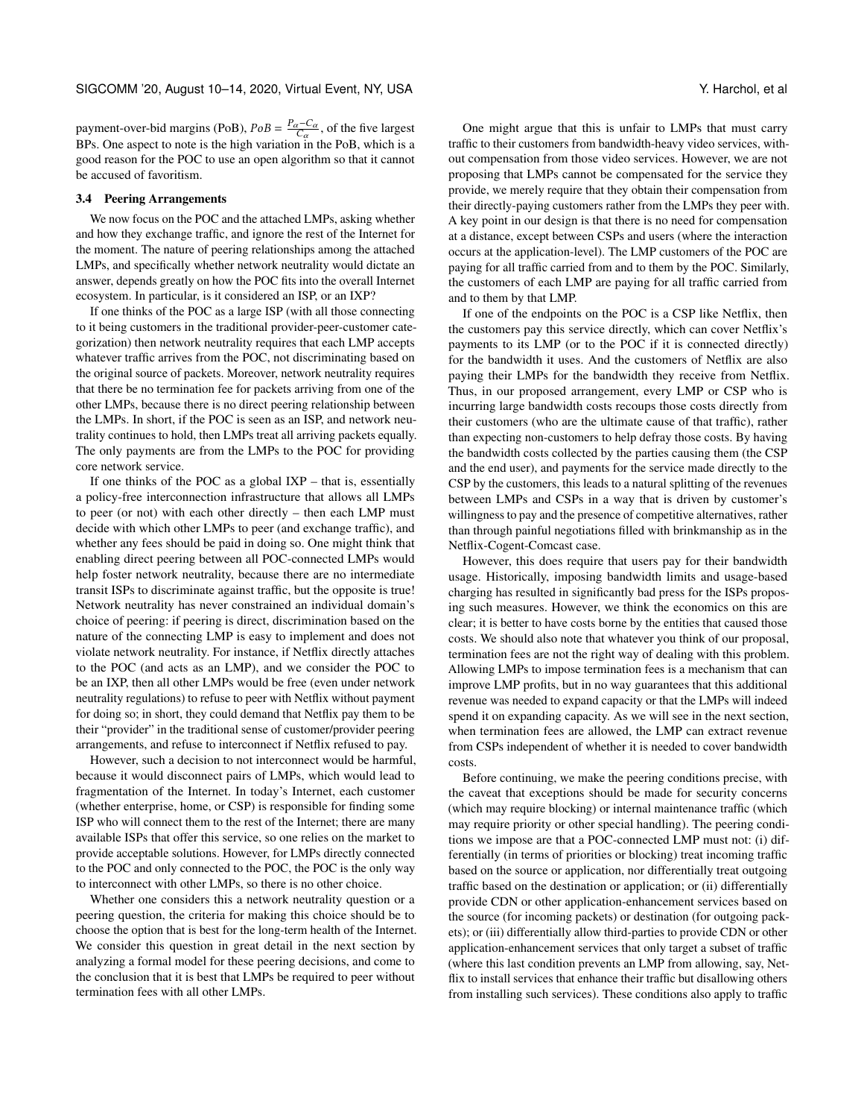payment-over-bid margins (PoB),  $PoB = \frac{P_{\alpha} - C_{\alpha}}{C_{\alpha}}$ , of the five largest BPs. One aspect to note is the high variation in the PoB, which is a good reason for the POC to use an open algorithm so that it cannot be accused of favoritism.

# <span id="page-7-0"></span>3.4 Peering Arrangements

We now focus on the POC and the attached LMPs, asking whether and how they exchange traffic, and ignore the rest of the Internet for the moment. The nature of peering relationships among the attached LMPs, and specifically whether network neutrality would dictate an answer, depends greatly on how the POC fits into the overall Internet ecosystem. In particular, is it considered an ISP, or an IXP?

If one thinks of the POC as a large ISP (with all those connecting to it being customers in the traditional provider-peer-customer categorization) then network neutrality requires that each LMP accepts whatever traffic arrives from the POC, not discriminating based on the original source of packets. Moreover, network neutrality requires that there be no termination fee for packets arriving from one of the other LMPs, because there is no direct peering relationship between the LMPs. In short, if the POC is seen as an ISP, and network neutrality continues to hold, then LMPs treat all arriving packets equally. The only payments are from the LMPs to the POC for providing core network service.

If one thinks of the POC as a global IXP – that is, essentially a policy-free interconnection infrastructure that allows all LMPs to peer (or not) with each other directly – then each LMP must decide with which other LMPs to peer (and exchange traffic), and whether any fees should be paid in doing so. One might think that enabling direct peering between all POC-connected LMPs would help foster network neutrality, because there are no intermediate transit ISPs to discriminate against traffic, but the opposite is true! Network neutrality has never constrained an individual domain's choice of peering: if peering is direct, discrimination based on the nature of the connecting LMP is easy to implement and does not violate network neutrality. For instance, if Netflix directly attaches to the POC (and acts as an LMP), and we consider the POC to be an IXP, then all other LMPs would be free (even under network neutrality regulations) to refuse to peer with Netflix without payment for doing so; in short, they could demand that Netflix pay them to be their "provider" in the traditional sense of customer/provider peering arrangements, and refuse to interconnect if Netflix refused to pay.

However, such a decision to not interconnect would be harmful, because it would disconnect pairs of LMPs, which would lead to fragmentation of the Internet. In today's Internet, each customer (whether enterprise, home, or CSP) is responsible for finding some ISP who will connect them to the rest of the Internet; there are many available ISPs that offer this service, so one relies on the market to provide acceptable solutions. However, for LMPs directly connected to the POC and only connected to the POC, the POC is the only way to interconnect with other LMPs, so there is no other choice.

Whether one considers this a network neutrality question or a peering question, the criteria for making this choice should be to choose the option that is best for the long-term health of the Internet. We consider this question in great detail in the next section by analyzing a formal model for these peering decisions, and come to the conclusion that it is best that LMPs be required to peer without termination fees with all other LMPs.

One might argue that this is unfair to LMPs that must carry traffic to their customers from bandwidth-heavy video services, without compensation from those video services. However, we are not proposing that LMPs cannot be compensated for the service they provide, we merely require that they obtain their compensation from their directly-paying customers rather from the LMPs they peer with. A key point in our design is that there is no need for compensation at a distance, except between CSPs and users (where the interaction occurs at the application-level). The LMP customers of the POC are paying for all traffic carried from and to them by the POC. Similarly, the customers of each LMP are paying for all traffic carried from and to them by that LMP.

If one of the endpoints on the POC is a CSP like Netflix, then the customers pay this service directly, which can cover Netflix's payments to its LMP (or to the POC if it is connected directly) for the bandwidth it uses. And the customers of Netflix are also paying their LMPs for the bandwidth they receive from Netflix. Thus, in our proposed arrangement, every LMP or CSP who is incurring large bandwidth costs recoups those costs directly from their customers (who are the ultimate cause of that traffic), rather than expecting non-customers to help defray those costs. By having the bandwidth costs collected by the parties causing them (the CSP and the end user), and payments for the service made directly to the CSP by the customers, this leads to a natural splitting of the revenues between LMPs and CSPs in a way that is driven by customer's willingness to pay and the presence of competitive alternatives, rather than through painful negotiations filled with brinkmanship as in the Netflix-Cogent-Comcast case.

However, this does require that users pay for their bandwidth usage. Historically, imposing bandwidth limits and usage-based charging has resulted in significantly bad press for the ISPs proposing such measures. However, we think the economics on this are clear; it is better to have costs borne by the entities that caused those costs. We should also note that whatever you think of our proposal, termination fees are not the right way of dealing with this problem. Allowing LMPs to impose termination fees is a mechanism that can improve LMP profits, but in no way guarantees that this additional revenue was needed to expand capacity or that the LMPs will indeed spend it on expanding capacity. As we will see in the next section, when termination fees are allowed, the LMP can extract revenue from CSPs independent of whether it is needed to cover bandwidth costs.

Before continuing, we make the peering conditions precise, with the caveat that exceptions should be made for security concerns (which may require blocking) or internal maintenance traffic (which may require priority or other special handling). The peering conditions we impose are that a POC-connected LMP must not: (i) differentially (in terms of priorities or blocking) treat incoming traffic based on the source or application, nor differentially treat outgoing traffic based on the destination or application; or (ii) differentially provide CDN or other application-enhancement services based on the source (for incoming packets) or destination (for outgoing packets); or (iii) differentially allow third-parties to provide CDN or other application-enhancement services that only target a subset of traffic (where this last condition prevents an LMP from allowing, say, Netflix to install services that enhance their traffic but disallowing others from installing such services). These conditions also apply to traffic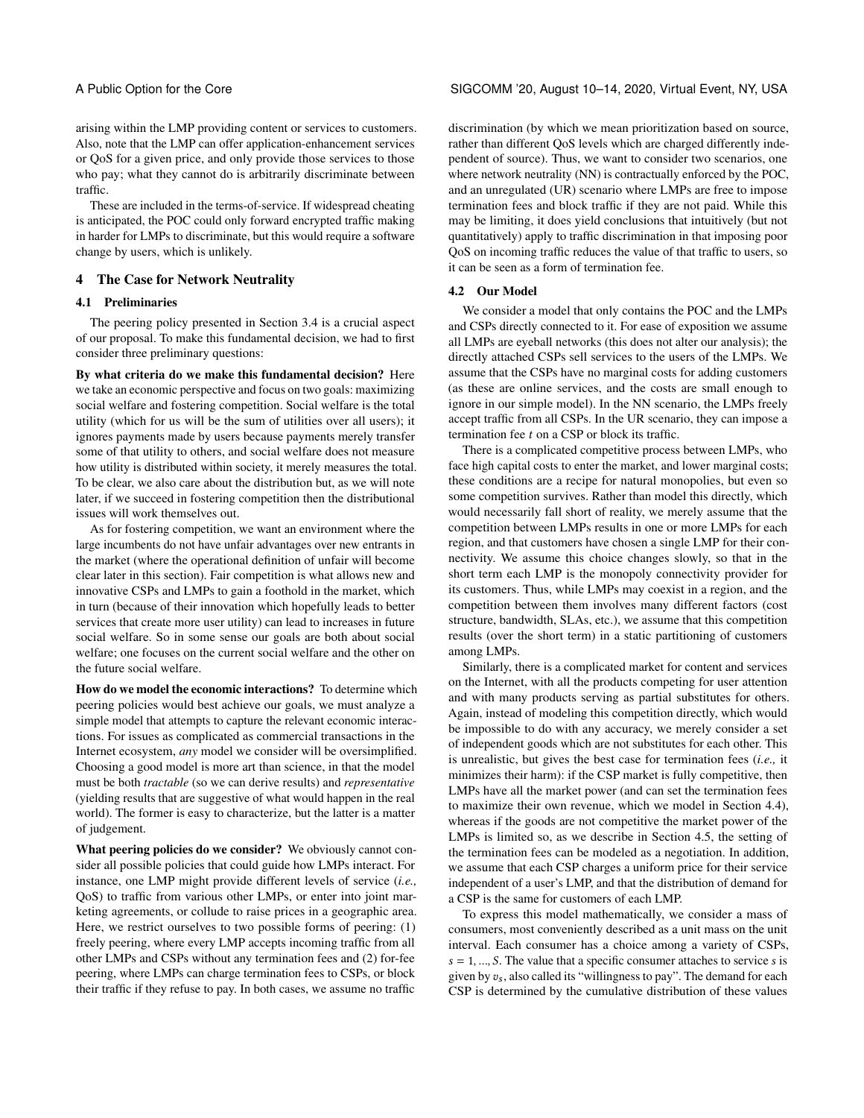arising within the LMP providing content or services to customers. Also, note that the LMP can offer application-enhancement services or QoS for a given price, and only provide those services to those who pay; what they cannot do is arbitrarily discriminate between traffic.

These are included in the terms-of-service. If widespread cheating is anticipated, the POC could only forward encrypted traffic making in harder for LMPs to discriminate, but this would require a software change by users, which is unlikely.

# <span id="page-8-0"></span>4 The Case for Network Neutrality

# 4.1 Preliminaries

The peering policy presented in Section [3.4](#page-7-0) is a crucial aspect of our proposal. To make this fundamental decision, we had to first consider three preliminary questions:

By what criteria do we make this fundamental decision? Here we take an economic perspective and focus on two goals: maximizing social welfare and fostering competition. Social welfare is the total utility (which for us will be the sum of utilities over all users); it ignores payments made by users because payments merely transfer some of that utility to others, and social welfare does not measure how utility is distributed within society, it merely measures the total. To be clear, we also care about the distribution but, as we will note later, if we succeed in fostering competition then the distributional issues will work themselves out.

As for fostering competition, we want an environment where the large incumbents do not have unfair advantages over new entrants in the market (where the operational definition of unfair will become clear later in this section). Fair competition is what allows new and innovative CSPs and LMPs to gain a foothold in the market, which in turn (because of their innovation which hopefully leads to better services that create more user utility) can lead to increases in future social welfare. So in some sense our goals are both about social welfare; one focuses on the current social welfare and the other on the future social welfare.

How do we model the economic interactions? To determine which peering policies would best achieve our goals, we must analyze a simple model that attempts to capture the relevant economic interactions. For issues as complicated as commercial transactions in the Internet ecosystem, *any* model we consider will be oversimplified. Choosing a good model is more art than science, in that the model must be both *tractable* (so we can derive results) and *representative* (yielding results that are suggestive of what would happen in the real world). The former is easy to characterize, but the latter is a matter of judgement.

What peering policies do we consider? We obviously cannot consider all possible policies that could guide how LMPs interact. For instance, one LMP might provide different levels of service (*i.e.,* QoS) to traffic from various other LMPs, or enter into joint marketing agreements, or collude to raise prices in a geographic area. Here, we restrict ourselves to two possible forms of peering: (1) freely peering, where every LMP accepts incoming traffic from all other LMPs and CSPs without any termination fees and (2) for-fee peering, where LMPs can charge termination fees to CSPs, or block their traffic if they refuse to pay. In both cases, we assume no traffic

discrimination (by which we mean prioritization based on source, rather than different QoS levels which are charged differently independent of source). Thus, we want to consider two scenarios, one where network neutrality (NN) is contractually enforced by the POC, and an unregulated (UR) scenario where LMPs are free to impose termination fees and block traffic if they are not paid. While this may be limiting, it does yield conclusions that intuitively (but not quantitatively) apply to traffic discrimination in that imposing poor QoS on incoming traffic reduces the value of that traffic to users, so it can be seen as a form of termination fee.

# 4.2 Our Model

We consider a model that only contains the POC and the LMPs and CSPs directly connected to it. For ease of exposition we assume all LMPs are eyeball networks (this does not alter our analysis); the directly attached CSPs sell services to the users of the LMPs. We assume that the CSPs have no marginal costs for adding customers (as these are online services, and the costs are small enough to ignore in our simple model). In the NN scenario, the LMPs freely accept traffic from all CSPs. In the UR scenario, they can impose a termination fee  $t$  on a CSP or block its traffic.

There is a complicated competitive process between LMPs, who face high capital costs to enter the market, and lower marginal costs; these conditions are a recipe for natural monopolies, but even so some competition survives. Rather than model this directly, which would necessarily fall short of reality, we merely assume that the competition between LMPs results in one or more LMPs for each region, and that customers have chosen a single LMP for their connectivity. We assume this choice changes slowly, so that in the short term each LMP is the monopoly connectivity provider for its customers. Thus, while LMPs may coexist in a region, and the competition between them involves many different factors (cost structure, bandwidth, SLAs, etc.), we assume that this competition results (over the short term) in a static partitioning of customers among LMPs.

Similarly, there is a complicated market for content and services on the Internet, with all the products competing for user attention and with many products serving as partial substitutes for others. Again, instead of modeling this competition directly, which would be impossible to do with any accuracy, we merely consider a set of independent goods which are not substitutes for each other. This is unrealistic, but gives the best case for termination fees (*i.e.,* it minimizes their harm): if the CSP market is fully competitive, then LMPs have all the market power (and can set the termination fees to maximize their own revenue, which we model in Section [4.4\)](#page-9-0), whereas if the goods are not competitive the market power of the LMPs is limited so, as we describe in Section [4.5,](#page-9-1) the setting of the termination fees can be modeled as a negotiation. In addition, we assume that each CSP charges a uniform price for their service independent of a user's LMP, and that the distribution of demand for a CSP is the same for customers of each LMP.

To express this model mathematically, we consider a mass of consumers, most conveniently described as a unit mass on the unit interval. Each consumer has a choice among a variety of CSPs,  $s = 1, ..., S$ . The value that a specific consumer attaches to service  $s$  is given by  $v_s$ , also called its "willingness to pay". The demand for each CSP is determined by the cumulative distribution of these values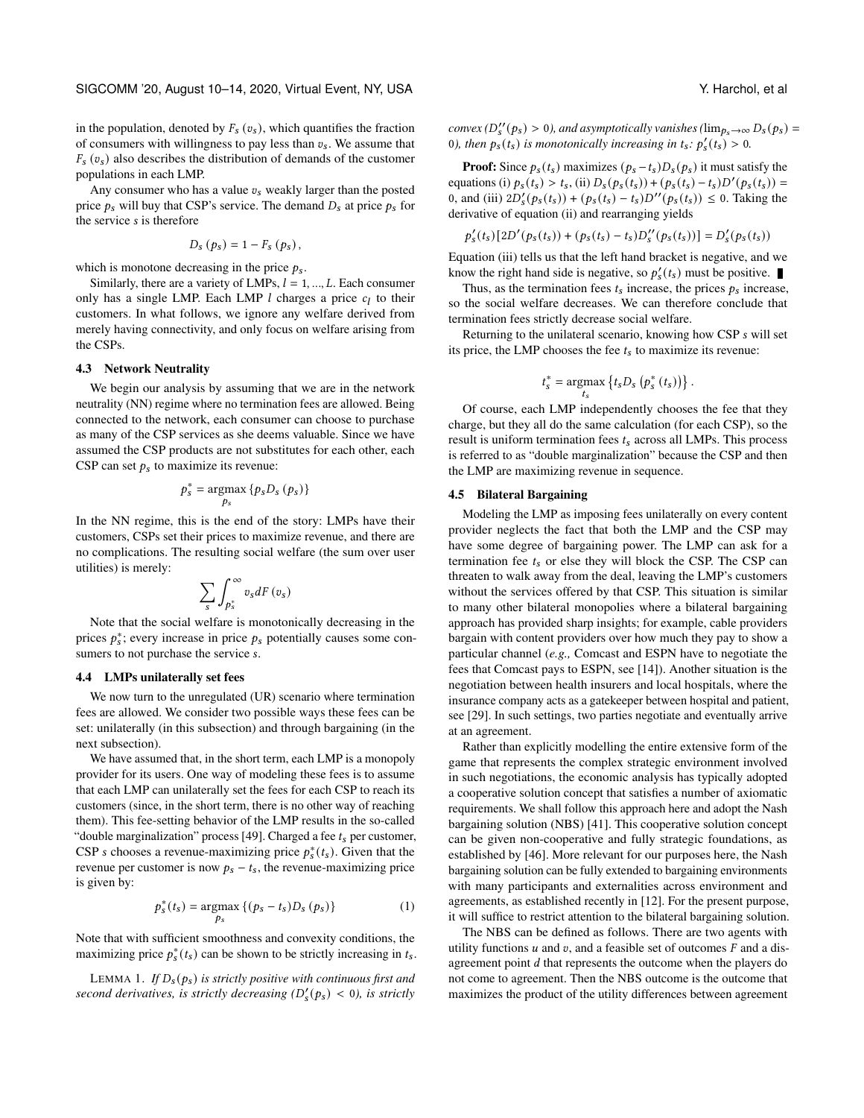in the population, denoted by  $F_s(v_s)$ , which quantifies the fraction of consumers with willingness to pay less than  $v_s$ . We assume that  $F_s(v_s)$  also describes the distribution of demands of the customer populations in each LMP.

Any consumer who has a value  $v_s$  weakly larger than the posted price  $p_s$  will buy that CSP's service. The demand  $D_s$  at price  $p_s$  for the service  $s$  is therefore

$$
D_{s}(p_{s})=1-F_{s}(p_{s}),
$$

which is monotone decreasing in the price  $p_s$ .

Similarly, there are a variety of LMPs,  $l = 1, ..., L$ . Each consumer only has a single LMP. Each LMP  $l$  charges a price  $c_l$  to their customers. In what follows, we ignore any welfare derived from merely having connectivity, and only focus on welfare arising from the CSPs.

#### 4.3 Network Neutrality

We begin our analysis by assuming that we are in the network neutrality (NN) regime where no termination fees are allowed. Being connected to the network, each consumer can choose to purchase as many of the CSP services as she deems valuable. Since we have assumed the CSP products are not substitutes for each other, each CSP can set  $p_s$  to maximize its revenue:

$$
p_s^* = \underset{p_s}{\text{argmax}} \{p_s D_s (p_s)\}
$$

In the NN regime, this is the end of the story: LMPs have their customers, CSPs set their prices to maximize revenue, and there are no complications. The resulting social welfare (the sum over user utilities) is merely:

$$
\sum_{s}\int_{p_{s}^{\ast}}^{\infty}v_{s}dF\left(v_{s}\right)
$$

Note that the social welfare is monotonically decreasing in the prices  $p_s^*$ ; every increase in price  $p_s$  potentially causes some consumers to not purchase the service s.

## <span id="page-9-0"></span>4.4 LMPs unilaterally set fees

We now turn to the unregulated (UR) scenario where termination fees are allowed. We consider two possible ways these fees can be set: unilaterally (in this subsection) and through bargaining (in the next subsection).

We have assumed that, in the short term, each LMP is a monopoly provider for its users. One way of modeling these fees is to assume that each LMP can unilaterally set the fees for each CSP to reach its customers (since, in the short term, there is no other way of reaching them). This fee-setting behavior of the LMP results in the so-called "double marginalization" process [\[49\]](#page-12-44). Charged a fee  $t_s$  per customer, CSP s chooses a revenue-maximizing price  $p_s^*(t_s)$ . Given that the revenue per customer is now  $p_s - t_s$ , the revenue-maximizing price is given by:

<span id="page-9-2"></span>
$$
p_s^*(t_s) = \underset{p_s}{\operatorname{argmax}} \left\{ (p_s - t_s) D_s (p_s) \right\} \tag{1}
$$

Note that with sufficient smoothness and convexity conditions, the maximizing price  $p_s^*(t_s)$  can be shown to be strictly increasing in  $t_s$ .

LEMMA 1. If  $D_s(p_s)$  is strictly positive with continuous first and *second derivatives, is strictly decreasing*  $(D'_{s}(p_{s}) < 0)$ *, is strictly*   $convex(D''_s(p_s) > 0)$ , and asymptotically vanishes ( $\lim_{p_s \to \infty} D_s(p_s) =$ 0), then  $p_s(t_s)$  is monotonically increasing in  $t_s$ :  $p'_s(t_s) > 0$ .

**Proof:** Since  $p_s(t_s)$  maximizes  $(p_s - t_s)D_s(p_s)$  it must satisfy the equations (i)  $p_s(t_s) > t_s$ , (ii)  $D_s(p_s(t_s)) + (p_s(t_s) - t_s)D'(p_s(t_s)) =$ 0, and (iii)  $2D'_{s}(p_{s}(t_{s})) + (p_{s}(t_{s}) - t_{s})D''(p_{s}(t_{s})) \leq 0$ . Taking the derivative of equation (ii) and rearranging yields

$$
p'_{s}(t_{s})[2D'(p_{s}(t_{s}))+ (p_{s}(t_{s})-t_{s})D''_{s}(p_{s}(t_{s}))]=D'_{s}(p_{s}(t_{s}))
$$

Equation (iii) tells us that the left hand bracket is negative, and we know the right hand side is negative, so  $p'_{s}(t_s)$  must be positive.

Thus, as the termination fees  $t_s$  increase, the prices  $p_s$  increase, so the social welfare decreases. We can therefore conclude that termination fees strictly decrease social welfare.

Returning to the unilateral scenario, knowing how CSP s will set its price, the LMP chooses the fee  $t_s$  to maximize its revenue:

$$
t_s^* = \underset{t_s}{\text{argmax}} \left\{ t_s D_s \left( p_s^* \left( t_s \right) \right) \right\}.
$$

Of course, each LMP independently chooses the fee that they charge, but they all do the same calculation (for each CSP), so the result is uniform termination fees  $t_s$  across all LMPs. This process is referred to as "double marginalization" because the CSP and then the LMP are maximizing revenue in sequence.

## <span id="page-9-1"></span>4.5 Bilateral Bargaining

Modeling the LMP as imposing fees unilaterally on every content provider neglects the fact that both the LMP and the CSP may have some degree of bargaining power. The LMP can ask for a termination fee  $t_s$  or else they will block the CSP. The CSP can threaten to walk away from the deal, leaving the LMP's customers without the services offered by that CSP. This situation is similar to many other bilateral monopolies where a bilateral bargaining approach has provided sharp insights; for example, cable providers bargain with content providers over how much they pay to show a particular channel (*e.g.,* Comcast and ESPN have to negotiate the fees that Comcast pays to ESPN, see [\[14\]](#page-12-45)). Another situation is the negotiation between health insurers and local hospitals, where the insurance company acts as a gatekeeper between hospital and patient, see [\[29\]](#page-12-46). In such settings, two parties negotiate and eventually arrive at an agreement.

Rather than explicitly modelling the entire extensive form of the game that represents the complex strategic environment involved in such negotiations, the economic analysis has typically adopted a cooperative solution concept that satisfies a number of axiomatic requirements. We shall follow this approach here and adopt the Nash bargaining solution (NBS) [\[41\]](#page-12-47). This cooperative solution concept can be given non-cooperative and fully strategic foundations, as established by [\[46\]](#page-12-48). More relevant for our purposes here, the Nash bargaining solution can be fully extended to bargaining environments with many participants and externalities across environment and agreements, as established recently in [\[12\]](#page-12-49). For the present purpose, it will suffice to restrict attention to the bilateral bargaining solution.

The NBS can be defined as follows. There are two agents with utility functions  $u$  and  $v$ , and a feasible set of outcomes  $F$  and a disagreement point  $d$  that represents the outcome when the players do not come to agreement. Then the NBS outcome is the outcome that maximizes the product of the utility differences between agreement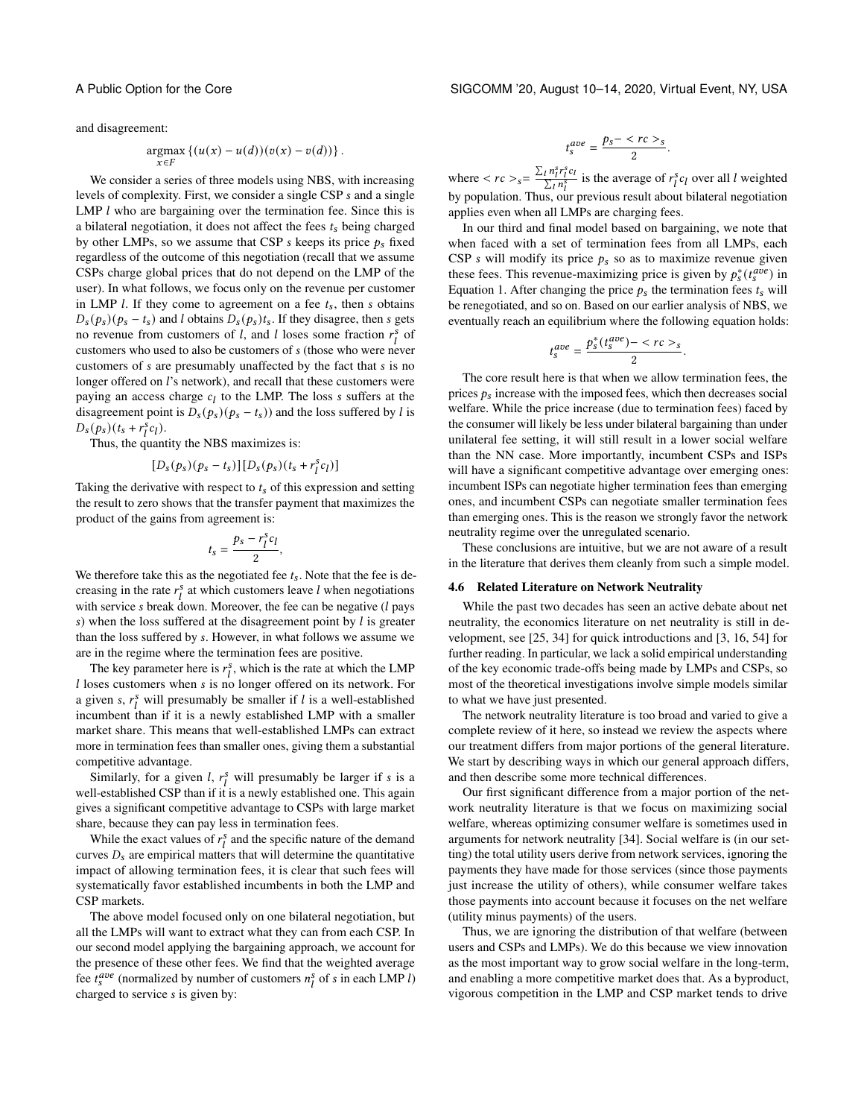and disagreement:

$$
\underset{x \in F}{\operatorname{argmax}} \left\{ (u(x) - u(d))(v(x) - v(d)) \right\}.
$$

We consider a series of three models using NBS, with increasing levels of complexity. First, we consider a single CSP s and a single LMP  $l$  who are bargaining over the termination fee. Since this is a bilateral negotiation, it does not affect the fees  $t_s$  being charged by other LMPs, so we assume that CSP s keeps its price  $p_s$  fixed regardless of the outcome of this negotiation (recall that we assume CSPs charge global prices that do not depend on the LMP of the user). In what follows, we focus only on the revenue per customer in LMP  $l$ . If they come to agreement on a fee  $t_s$ , then  $s$  obtains  $D_s(p_s)(p_s - t_s)$  and *l* obtains  $D_s(p_s)t_s$ . If they disagree, then *s* gets no revenue from customers of l, and l loses some fraction  $r_i^s$  of customers who used to also be customers of  $s$  (those who were never customers of  $s$  are presumably unaffected by the fact that  $s$  is no longer offered on l's network), and recall that these customers were paying an access charge  $c_l$  to the LMP. The loss  $s$  suffers at the disagreement point is  $D_s(p_s)(p_s - t_s)$  and the loss suffered by l is  $D_s(p_s)(t_s + r_l^s c_l).$ 

Thus, the quantity the NBS maximizes is:

$$
[D_s(p_s)(p_s - t_s)][D_s(p_s)(t_s + r_l^s c_l)]
$$

Taking the derivative with respect to  $t_s$  of this expression and setting the result to zero shows that the transfer payment that maximizes the product of the gains from agreement is:

$$
t_s = \frac{p_s - r_l^s c_l}{2},
$$

We therefore take this as the negotiated fee  $t_s$ . Note that the fee is decreasing in the rate  $r_l^s$  at which customers leave l when negotiations with service  $s$  break down. Moreover, the fee can be negative  $(l$  pays s) when the loss suffered at the disagreement point by  $l$  is greater than the loss suffered by . However, in what follows we assume we are in the regime where the termination fees are positive.

The key parameter here is  $r_l^s$ , which is the rate at which the LMP  $l$  loses customers when  $s$  is no longer offered on its network. For a given s,  $r_l^s$  will presumably be smaller if l is a well-established incumbent than if it is a newly established LMP with a smaller market share. This means that well-established LMPs can extract more in termination fees than smaller ones, giving them a substantial competitive advantage.

Similarly, for a given *l*,  $r_l^s$  will presumably be larger if *s* is a well-established CSP than if it is a newly established one. This again gives a significant competitive advantage to CSPs with large market share, because they can pay less in termination fees.

While the exact values of  $r_l^s$  and the specific nature of the demand curves  $D_s$  are empirical matters that will determine the quantitative impact of allowing termination fees, it is clear that such fees will systematically favor established incumbents in both the LMP and CSP markets.

The above model focused only on one bilateral negotiation, but all the LMPs will want to extract what they can from each CSP. In our second model applying the bargaining approach, we account for the presence of these other fees. We find that the weighted average fee  $t_s^{ave}$  (normalized by number of customers  $n_i^s$  of s in each LMP *l*) charged to service *s* is given by:

A Public Option for the Core SIGCOMM '20, August 10–14, 2020, Virtual Event, NY, USA

$$
t_s^{ave} = \frac{p_s - \langle rc \rangle_s}{2}.
$$

where  $\langle rc \rangle_s = \frac{\sum_l n_l^s r_l^s c_l}{\sum_l n_s^s}$  $\frac{i \, n_l^s r_l^s c_l}{\sum_l n_l^s}$  is the average of  $r_l^s c_l$  over all l weighted by population. Thus, our previous result about bilateral negotiation applies even when all LMPs are charging fees.

In our third and final model based on bargaining, we note that when faced with a set of termination fees from all LMPs, each CSP s will modify its price  $p_s$  so as to maximize revenue given these fees. This revenue-maximizing price is given by  $p_s^*(t_s^{ave})$  in Equation [1.](#page-9-2) After changing the price  $p_s$  the termination fees  $t_s$  will be renegotiated, and so on. Based on our earlier analysis of NBS, we eventually reach an equilibrium where the following equation holds:

$$
t_s^{ave} = \frac{p_s^*(t_s^{ave}) - \langle rc \rangle_s}{2}.
$$

The core result here is that when we allow termination fees, the prices  $p_s$  increase with the imposed fees, which then decreases social welfare. While the price increase (due to termination fees) faced by the consumer will likely be less under bilateral bargaining than under unilateral fee setting, it will still result in a lower social welfare than the NN case. More importantly, incumbent CSPs and ISPs will have a significant competitive advantage over emerging ones: incumbent ISPs can negotiate higher termination fees than emerging ones, and incumbent CSPs can negotiate smaller termination fees than emerging ones. This is the reason we strongly favor the network neutrality regime over the unregulated scenario.

These conclusions are intuitive, but we are not aware of a result in the literature that derives them cleanly from such a simple model.

### 4.6 Related Literature on Network Neutrality

While the past two decades has seen an active debate about net neutrality, the economics literature on net neutrality is still in development, see [\[25,](#page-12-50) [34\]](#page-12-51) for quick introductions and [\[3,](#page-12-52) [16,](#page-12-53) [54\]](#page-12-6) for further reading. In particular, we lack a solid empirical understanding of the key economic trade-offs being made by LMPs and CSPs, so most of the theoretical investigations involve simple models similar to what we have just presented.

The network neutrality literature is too broad and varied to give a complete review of it here, so instead we review the aspects where our treatment differs from major portions of the general literature. We start by describing ways in which our general approach differs, and then describe some more technical differences.

Our first significant difference from a major portion of the network neutrality literature is that we focus on maximizing social welfare, whereas optimizing consumer welfare is sometimes used in arguments for network neutrality [\[34\]](#page-12-51). Social welfare is (in our setting) the total utility users derive from network services, ignoring the payments they have made for those services (since those payments just increase the utility of others), while consumer welfare takes those payments into account because it focuses on the net welfare (utility minus payments) of the users.

Thus, we are ignoring the distribution of that welfare (between users and CSPs and LMPs). We do this because we view innovation as the most important way to grow social welfare in the long-term, and enabling a more competitive market does that. As a byproduct, vigorous competition in the LMP and CSP market tends to drive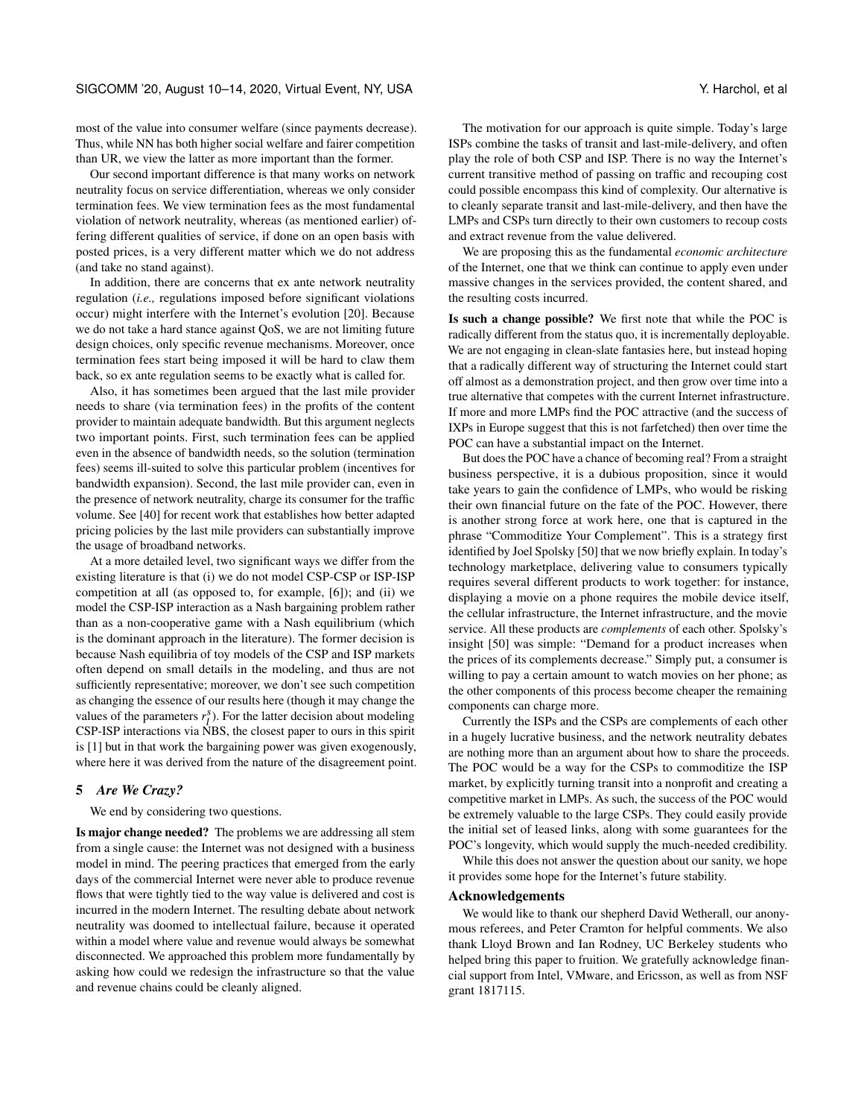most of the value into consumer welfare (since payments decrease). Thus, while NN has both higher social welfare and fairer competition than UR, we view the latter as more important than the former.

Our second important difference is that many works on network neutrality focus on service differentiation, whereas we only consider termination fees. We view termination fees as the most fundamental violation of network neutrality, whereas (as mentioned earlier) offering different qualities of service, if done on an open basis with posted prices, is a very different matter which we do not address (and take no stand against).

In addition, there are concerns that ex ante network neutrality regulation (*i.e.,* regulations imposed before significant violations occur) might interfere with the Internet's evolution [\[20\]](#page-12-21). Because we do not take a hard stance against QoS, we are not limiting future design choices, only specific revenue mechanisms. Moreover, once termination fees start being imposed it will be hard to claw them back, so ex ante regulation seems to be exactly what is called for.

Also, it has sometimes been argued that the last mile provider needs to share (via termination fees) in the profits of the content provider to maintain adequate bandwidth. But this argument neglects two important points. First, such termination fees can be applied even in the absence of bandwidth needs, so the solution (termination fees) seems ill-suited to solve this particular problem (incentives for bandwidth expansion). Second, the last mile provider can, even in the presence of network neutrality, charge its consumer for the traffic volume. See [\[40\]](#page-12-54) for recent work that establishes how better adapted pricing policies by the last mile providers can substantially improve the usage of broadband networks.

At a more detailed level, two significant ways we differ from the existing literature is that (i) we do not model CSP-CSP or ISP-ISP competition at all (as opposed to, for example, [\[6\]](#page-12-55)); and (ii) we model the CSP-ISP interaction as a Nash bargaining problem rather than as a non-cooperative game with a Nash equilibrium (which is the dominant approach in the literature). The former decision is because Nash equilibria of toy models of the CSP and ISP markets often depend on small details in the modeling, and thus are not sufficiently representative; moreover, we don't see such competition as changing the essence of our results here (though it may change the values of the parameters  $r_l^s$ ). For the latter decision about modeling CSP-ISP interactions via NBS, the closest paper to ours in this spirit is [\[1\]](#page-12-56) but in that work the bargaining power was given exogenously, where here it was derived from the nature of the disagreement point.

# <span id="page-11-0"></span>5 *Are We Crazy?*

We end by considering two questions.

Is major change needed? The problems we are addressing all stem from a single cause: the Internet was not designed with a business model in mind. The peering practices that emerged from the early days of the commercial Internet were never able to produce revenue flows that were tightly tied to the way value is delivered and cost is incurred in the modern Internet. The resulting debate about network neutrality was doomed to intellectual failure, because it operated within a model where value and revenue would always be somewhat disconnected. We approached this problem more fundamentally by asking how could we redesign the infrastructure so that the value and revenue chains could be cleanly aligned.

The motivation for our approach is quite simple. Today's large ISPs combine the tasks of transit and last-mile-delivery, and often play the role of both CSP and ISP. There is no way the Internet's current transitive method of passing on traffic and recouping cost could possible encompass this kind of complexity. Our alternative is to cleanly separate transit and last-mile-delivery, and then have the LMPs and CSPs turn directly to their own customers to recoup costs and extract revenue from the value delivered.

We are proposing this as the fundamental *economic architecture* of the Internet, one that we think can continue to apply even under massive changes in the services provided, the content shared, and the resulting costs incurred.

Is such a change possible? We first note that while the POC is radically different from the status quo, it is incrementally deployable. We are not engaging in clean-slate fantasies here, but instead hoping that a radically different way of structuring the Internet could start off almost as a demonstration project, and then grow over time into a true alternative that competes with the current Internet infrastructure. If more and more LMPs find the POC attractive (and the success of IXPs in Europe suggest that this is not farfetched) then over time the POC can have a substantial impact on the Internet.

But does the POC have a chance of becoming real? From a straight business perspective, it is a dubious proposition, since it would take years to gain the confidence of LMPs, who would be risking their own financial future on the fate of the POC. However, there is another strong force at work here, one that is captured in the phrase "Commoditize Your Complement". This is a strategy first identified by Joel Spolsky [\[50\]](#page-12-57) that we now briefly explain. In today's technology marketplace, delivering value to consumers typically requires several different products to work together: for instance, displaying a movie on a phone requires the mobile device itself, the cellular infrastructure, the Internet infrastructure, and the movie service. All these products are *complements* of each other. Spolsky's insight [\[50\]](#page-12-57) was simple: "Demand for a product increases when the prices of its complements decrease." Simply put, a consumer is willing to pay a certain amount to watch movies on her phone; as the other components of this process become cheaper the remaining components can charge more.

Currently the ISPs and the CSPs are complements of each other in a hugely lucrative business, and the network neutrality debates are nothing more than an argument about how to share the proceeds. The POC would be a way for the CSPs to commoditize the ISP market, by explicitly turning transit into a nonprofit and creating a competitive market in LMPs. As such, the success of the POC would be extremely valuable to the large CSPs. They could easily provide the initial set of leased links, along with some guarantees for the POC's longevity, which would supply the much-needed credibility.

While this does not answer the question about our sanity, we hope it provides some hope for the Internet's future stability.

#### Acknowledgements

We would like to thank our shepherd David Wetherall, our anonymous referees, and Peter Cramton for helpful comments. We also thank Lloyd Brown and Ian Rodney, UC Berkeley students who helped bring this paper to fruition. We gratefully acknowledge financial support from Intel, VMware, and Ericsson, as well as from NSF grant 1817115.